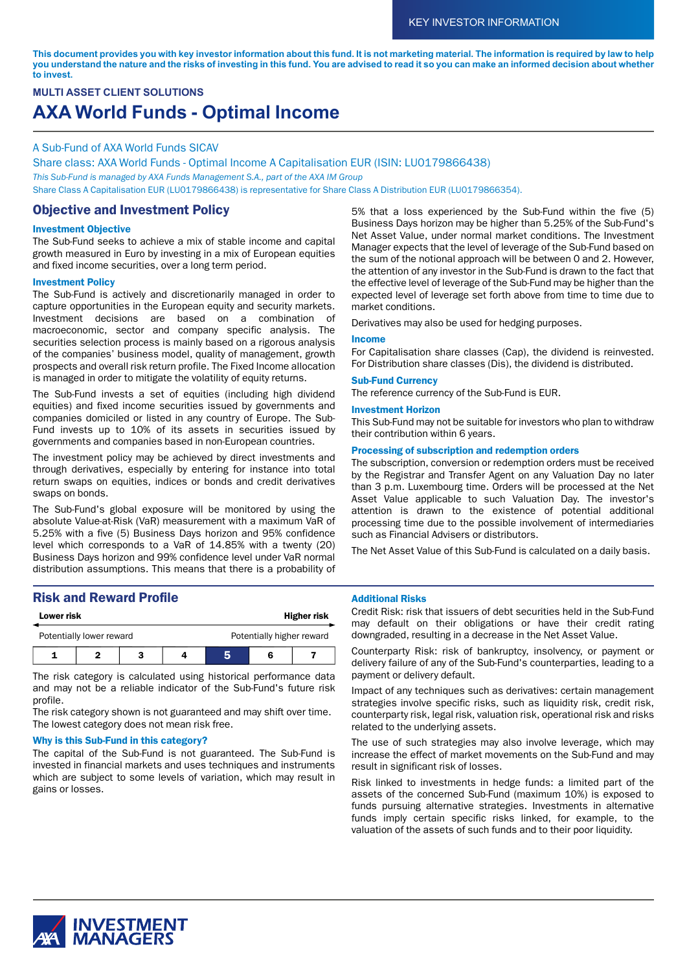This document provides you with key investor information about this fund. It is not marketing material. The information is required by law to help you understand the nature and the risks of investing in this fund. You are advised to read it so you can make an informed decision about whether **to invest.**

# **MULTI ASSET CLIENT SOLUTIONS AXA World Funds - Optimal Income**

#### A Sub-Fund of AXA World Funds SICAV

Share class: AXA World Funds - Optimal Income A Capitalisation EUR (ISIN: LU0179866438) *This Sub-Fund is managed by AXA Funds Management S.A., part of the AXA IM Group* Share Class A Capitalisation EUR (LU0179866438) is representative for Share Class A Distribution EUR (LU0179866354).

## Objective and Investment Policy

#### Investment Objective

The Sub-Fund seeks to achieve a mix of stable income and capital growth measured in Euro by investing in a mix of European equities and fixed income securities, over a long term period.

#### Investment Policy

The Sub-Fund is actively and discretionarily managed in order to capture opportunities in the European equity and security markets. Investment decisions are based on a combination of macroeconomic, sector and company specific analysis. The securities selection process is mainly based on a rigorous analysis of the companies' business model, quality of management, growth prospects and overall risk return profile. The Fixed Income allocation is managed in order to mitigate the volatility of equity returns.

The Sub-Fund invests a set of equities (including high dividend equities) and fixed income securities issued by governments and companies domiciled or listed in any country of Europe. The Sub-Fund invests up to 10% of its assets in securities issued by governments and companies based in non-European countries.

The investment policy may be achieved by direct investments and through derivatives, especially by entering for instance into total return swaps on equities, indices or bonds and credit derivatives swaps on bonds.

The Sub-Fund's global exposure will be monitored by using the absolute Value-at-Risk (VaR) measurement with a maximum VaR of 5.25% with a five (5) Business Days horizon and 95% confidence level which corresponds to a VaR of 14.85% with a twenty (20) Business Days horizon and 99% confidence level under VaR normal distribution assumptions. This means that there is a probability of

## Risk and Reward Profile

| <b>Lower risk</b>        |  |  | <b>Higher risk</b> |                           |  |  |
|--------------------------|--|--|--------------------|---------------------------|--|--|
| Potentially lower reward |  |  |                    | Potentially higher reward |  |  |
|                          |  |  |                    |                           |  |  |

The risk category is calculated using historical performance data and may not be a reliable indicator of the Sub-Fund's future risk profile.

The risk category shown is not guaranteed and may shift over time. The lowest category does not mean risk free.

#### Why is this Sub-Fund in this category?

The capital of the Sub-Fund is not guaranteed. The Sub-Fund is invested in financial markets and uses techniques and instruments which are subject to some levels of variation, which may result in gains or losses.

5% that a loss experienced by the Sub-Fund within the five (5) Business Days horizon may be higher than 5.25% of the Sub-Fund's Net Asset Value, under normal market conditions. The Investment Manager expects that the level of leverage of the Sub-Fund based on the sum of the notional approach will be between 0 and 2. However, the attention of any investor in the Sub-Fund is drawn to the fact that the effective level of leverage of the Sub-Fund may be higher than the expected level of leverage set forth above from time to time due to market conditions.

#### Derivatives may also be used for hedging purposes.

#### Income

For Capitalisation share classes (Cap), the dividend is reinvested. For Distribution share classes (Dis), the dividend is distributed.

#### Sub-Fund Currency

The reference currency of the Sub-Fund is EUR.

#### Investment Horizon

This Sub-Fund may not be suitable for investors who plan to withdraw their contribution within 6 years.

#### Processing of subscription and redemption orders

The subscription, conversion or redemption orders must be received by the Registrar and Transfer Agent on any Valuation Day no later than 3 p.m. Luxembourg time. Orders will be processed at the Net Asset Value applicable to such Valuation Day. The investor's attention is drawn to the existence of potential additional processing time due to the possible involvement of intermediaries such as Financial Advisers or distributors.

The Net Asset Value of this Sub-Fund is calculated on a daily basis.

#### Additional Risks

Credit Risk: risk that issuers of debt securities held in the Sub-Fund may default on their obligations or have their credit rating downgraded, resulting in a decrease in the Net Asset Value.

Counterparty Risk: risk of bankruptcy, insolvency, or payment or delivery failure of any of the Sub-Fund's counterparties, leading to a payment or delivery default.

Impact of any techniques such as derivatives: certain management strategies involve specific risks, such as liquidity risk, credit risk, counterparty risk, legal risk, valuation risk, operational risk and risks related to the underlying assets.

The use of such strategies may also involve leverage, which may increase the effect of market movements on the Sub-Fund and may result in significant risk of losses.

Risk linked to investments in hedge funds: a limited part of the assets of the concerned Sub-Fund (maximum 10%) is exposed to funds pursuing alternative strategies. Investments in alternative funds imply certain specific risks linked, for example, to the valuation of the assets of such funds and to their poor liquidity.